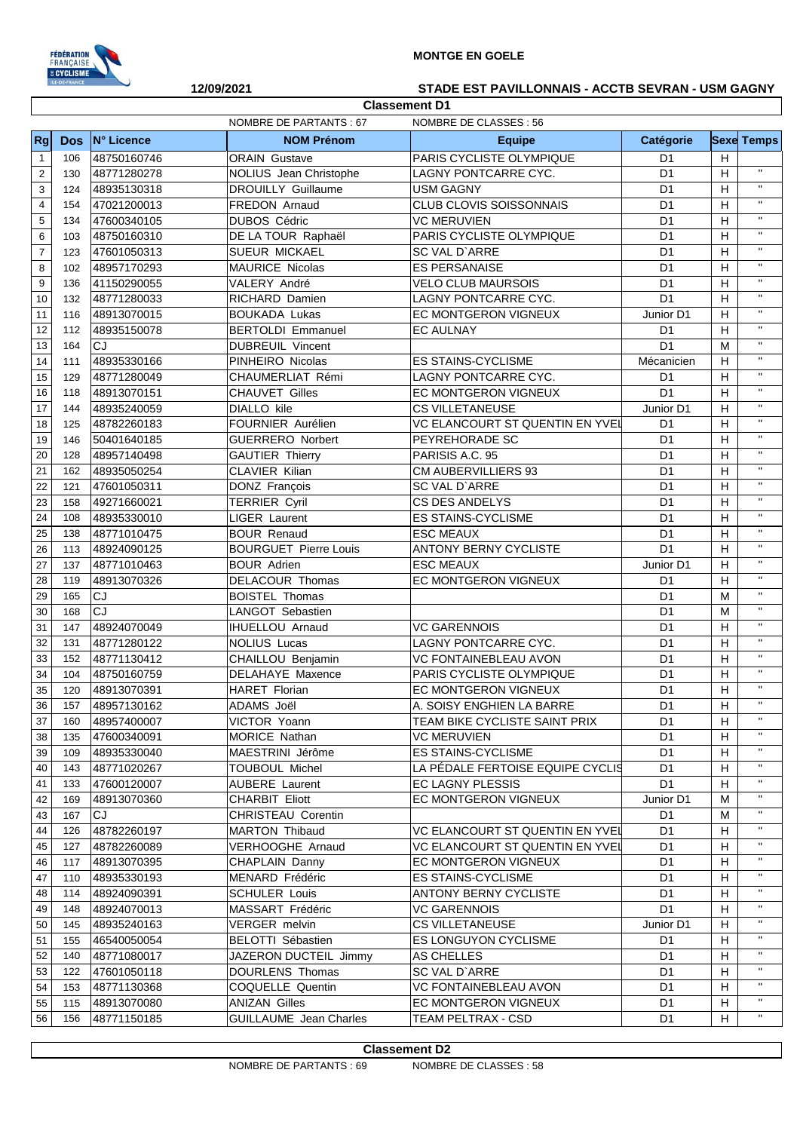

## **MONTGE EN GOELE**

|                         | ILE-DE-FRANCE | 12/09/2021  |                              | STADE EST PAVILLONNAIS - ACCTB SEVRAN - USM GAGNY |                |                           |                    |
|-------------------------|---------------|-------------|------------------------------|---------------------------------------------------|----------------|---------------------------|--------------------|
|                         |               |             | <b>Classement D1</b>         |                                                   |                |                           |                    |
|                         |               |             | NOMBRE DE PARTANTS : 67      | NOMBRE DE CLASSES : 56                            |                |                           |                    |
| Rg                      | <b>Dos</b>    | N° Licence  | <b>NOM Prénom</b>            | <b>Equipe</b>                                     | Catégorie      |                           | <b>Sexe Temps</b>  |
| $\mathbf{1}$            | 106           | 48750160746 | <b>ORAIN Gustave</b>         | PARIS CYCLISTE OLYMPIQUE                          | D <sub>1</sub> | H                         | H.                 |
| $\mathbf 2$             | 130           | 48771280278 | NOLIUS Jean Christophe       | LAGNY PONTCARRE CYC.                              | D <sub>1</sub> | H                         | $\mathbf{H}$       |
| 3                       | 124           | 48935130318 | <b>DROUILLY Guillaume</b>    | <b>USM GAGNY</b>                                  | D <sub>1</sub> | H                         |                    |
| $\overline{\mathbf{4}}$ | 154           | 47021200013 | FREDON Arnaud                | <b>CLUB CLOVIS SOISSONNAIS</b>                    | D <sub>1</sub> | н                         | $\mathbf H$        |
| $\sqrt{5}$              | 134           | 47600340105 | DUBOS Cédric                 | <b>VC MERUVIEN</b>                                | D <sub>1</sub> | H                         | $\mathbf{H}$       |
| $\,6$                   | 103           | 48750160310 | DE LA TOUR Raphaël           | PARIS CYCLISTE OLYMPIQUE                          | D <sub>1</sub> | H                         | $\mathbf H$        |
| $\overline{\mathbf{7}}$ | 123           | 47601050313 | SUEUR MICKAEL                | SC VAL D'ARRE                                     | D <sub>1</sub> | Н                         | $\mathbf H$        |
| 8                       | 102           | 48957170293 | MAURICE Nicolas              | <b>ES PERSANAISE</b>                              | D <sub>1</sub> | Н                         | $\mathbf H$        |
| 9                       | 136           | 41150290055 | VALERY André                 | <b>VELO CLUB MAURSOIS</b>                         | D <sub>1</sub> | Н                         | $\mathbf{H}$       |
| 10                      | 132           | 48771280033 | RICHARD Damien               | LAGNY PONTCARRE CYC.                              | D <sub>1</sub> | Н                         | $\mathbf H$        |
| 11                      | 116           | 48913070015 | <b>BOUKADA Lukas</b>         | EC MONTGERON VIGNEUX                              | Junior D1      | H                         | $\mathbf{H}$       |
| 12                      | 112           | 48935150078 | <b>BERTOLDI Emmanuel</b>     | <b>EC AULNAY</b>                                  | D <sub>1</sub> | H                         | $\mathbf{H}$       |
| 13                      | 164           | <b>CJ</b>   | <b>DUBREUIL Vincent</b>      |                                                   | D <sub>1</sub> | M                         | $\mathbf{H}$       |
| 14                      | 111           | 48935330166 | PINHEIRO Nicolas             | <b>ES STAINS-CYCLISME</b>                         | Mécanicien     | H                         | $\mathbf{H}$       |
| 15                      | 129           | 48771280049 | CHAUMERLIAT Rémi             | LAGNY PONTCARRE CYC.                              | D <sub>1</sub> | $\boldsymbol{\mathsf{H}}$ | $\mathbf{H}$       |
| 16                      | 118           | 48913070151 | <b>CHAUVET Gilles</b>        | EC MONTGERON VIGNEUX                              | D <sub>1</sub> | Н                         | $\mathbf{H}$       |
| 17                      | 144           | 48935240059 | DIALLO kile                  | <b>CS VILLETANEUSE</b>                            | Junior D1      | н                         | $\mathbf{H}$       |
| 18                      | 125           | 48782260183 | FOURNIER Aurélien            | VC ELANCOURT ST QUENTIN EN YVEL                   | D <sub>1</sub> | $\boldsymbol{\mathsf{H}}$ | $\mathbf{H}$       |
| 19                      | 146           | 50401640185 | <b>GUERRERO Norbert</b>      | PEYREHORADE SC                                    | D <sub>1</sub> | H                         | $\mathbf{H}$       |
| 20                      | 128           | 48957140498 | <b>GAUTIER Thierry</b>       | PARISIS A.C. 95                                   | D <sub>1</sub> | Н                         | H.                 |
| 21                      | 162           | 48935050254 | CLAVIER Kilian               | CM AUBERVILLIERS 93                               | D <sub>1</sub> | H                         | $\mathbf H$        |
| 22                      | 121           | 47601050311 | DONZ François                | SC VAL D'ARRE                                     | D <sub>1</sub> | H                         | $\mathbf H$        |
| 23                      | 158           | 49271660021 | <b>TERRIER Cyril</b>         | <b>CS DES ANDELYS</b>                             | D <sub>1</sub> | H                         | $\mathbf H$        |
| 24                      | 108           | 48935330010 | LIGER Laurent                | <b>ES STAINS-CYCLISME</b>                         | D <sub>1</sub> | H                         | $\mathbf{H}$       |
| 25                      | 138           | 48771010475 | <b>BOUR Renaud</b>           | <b>ESC MEAUX</b>                                  | D <sub>1</sub> | H                         | $\pmb{\mathsf{H}}$ |
| 26                      | 113           | 48924090125 | <b>BOURGUET Pierre Louis</b> | <b>ANTONY BERNY CYCLISTE</b>                      | D <sub>1</sub> | H                         | $\mathbf H$        |
| 27                      | 137           | 48771010463 | <b>BOUR Adrien</b>           | <b>ESC MEAUX</b>                                  | Junior D1      | H                         | $\mathbf{H}$       |
| 28                      | 119           | 48913070326 | DELACOUR Thomas              | EC MONTGERON VIGNEUX                              | D <sub>1</sub> | H                         | $\mathbf{H}$       |
| 29                      | 165           | CJ          | <b>BOISTEL Thomas</b>        |                                                   | D <sub>1</sub> | M                         | $\mathbf{H}$       |
| 30                      | 168           | CJ          | LANGOT Sebastien             |                                                   | D <sub>1</sub> | M                         | $\mathbf{H}$       |
| 31                      | 147           | 48924070049 | <b>IHUELLOU Arnaud</b>       | <b>VC GARENNOIS</b>                               | D <sub>1</sub> | H                         | $\mathbf{H}$       |
| 32                      | 131           | 48771280122 | <b>NOLIUS Lucas</b>          | LAGNY PONTCARRE CYC.                              | D <sub>1</sub> | H                         | $\mathbf{H}$       |
| 33                      | 152           | 48771130412 | CHAILLOU Benjamin            | VC FONTAINEBLEAU AVON                             | D <sub>1</sub> | н                         | $\mathbf{H}$       |
| 34                      | 104           | 48750160759 | DELAHAYE Maxence             | PARIS CYCLISTE OLYMPIQUE                          | D <sub>1</sub> | H                         | $\mathbf{H}$       |
| 35                      | 120           | 48913070391 | <b>HARET Florian</b>         | EC MONTGERON VIGNEUX                              | D1             | H                         | Η.                 |
| 36                      | 157           | 48957130162 | ADAMS Joël                   | A. SOISY ENGHIEN LA BARRE                         | D <sub>1</sub> | H                         | π.                 |
| 37                      | 160           | 48957400007 | VICTOR Yoann                 | TEAM BIKE CYCLISTE SAINT PRIX                     | D <sub>1</sub> | H                         | π.                 |
| 38                      | 135           | 47600340091 | <b>MORICE Nathan</b>         | <b>VC MERUVIEN</b>                                | D <sub>1</sub> | н                         | π.                 |
| 39                      | 109           | 48935330040 | MAESTRINI Jérôme             | <b>ES STAINS-CYCLISME</b>                         | D <sub>1</sub> | H                         | π.                 |
| 40                      | 143           | 48771020267 | <b>TOUBOUL Michel</b>        | LA PÉDALE FERTOISE EQUIPE CYCLIS                  | D <sub>1</sub> | H                         | Π.                 |
| 41                      | 133           | 47600120007 | <b>AUBERE</b> Laurent        | <b>EC LAGNY PLESSIS</b>                           | D <sub>1</sub> | Н                         | "                  |
| 42                      | 169           | 48913070360 | <b>CHARBIT Eliott</b>        | EC MONTGERON VIGNEUX                              | Junior D1      | м                         | Π.                 |
| 43                      | 167           | CJ          | <b>CHRISTEAU Corentin</b>    |                                                   | D1             | M                         | Π.                 |
| 44                      | 126           | 48782260197 | <b>MARTON Thibaud</b>        | <b>VC ELANCOURT ST QUENTIN EN YVEL</b>            | D1             | H                         | п                  |
| 45                      | 127           | 48782260089 | VERHOOGHE Arnaud             | VC ELANCOURT ST QUENTIN EN YVEL                   | D <sub>1</sub> | H                         | Π.                 |
| 46                      | 117           | 48913070395 | CHAPLAIN Danny               | EC MONTGERON VIGNEUX                              | D <sub>1</sub> | H                         | π.                 |
| 47                      | 110           | 48935330193 | MENARD Frédéric              | ES STAINS-CYCLISME                                | D <sub>1</sub> | H                         | н.                 |
| 48                      | 114           | 48924090391 | <b>SCHULER Louis</b>         | <b>ANTONY BERNY CYCLISTE</b>                      | D <sub>1</sub> | H                         | н.                 |
| 49                      | 148           | 48924070013 | MASSART Frédéric             | <b>VC GARENNOIS</b>                               | D <sub>1</sub> | H                         | Π.                 |
| 50                      | 145           | 48935240163 | VERGER melvin                | <b>CS VILLETANEUSE</b>                            | Junior D1      | Н                         | н.                 |
| 51                      | 155           | 46540050054 | BELOTTI Sébastien            | ES LONGUYON CYCLISME                              | D <sub>1</sub> | н                         | Π.                 |
| 52                      | 140           | 48771080017 | JAZERON DUCTEIL Jimmy        | AS CHELLES                                        | D <sub>1</sub> | Н                         | н.                 |
| 53                      | 122           | 47601050118 | DOURLENS Thomas              | SC VAL D'ARRE                                     | D <sub>1</sub> | H                         | Π.                 |
| 54                      | 153           | 48771130368 | COQUELLE Quentin             | <b>VC FONTAINEBLEAU AVON</b>                      | D1             | Н                         | Η.                 |
| 55                      | 115           | 48913070080 | <b>ANIZAN Gilles</b>         | EC MONTGERON VIGNEUX                              | D <sub>1</sub> | $\mathsf H$               | $\mathbf H$        |

156 48771150185 GUILLAUME Jean Charles TEAM PELTRAX - CSD D1 H ''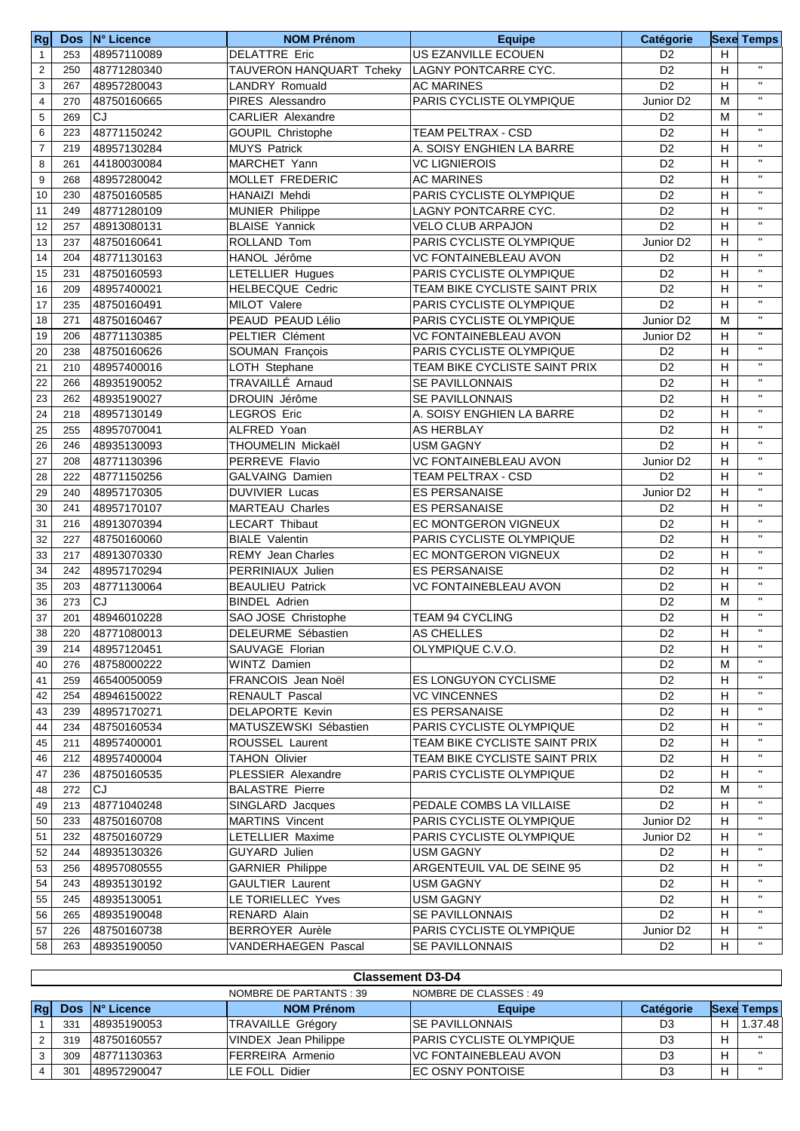| <b>Rg</b>               |     | Dos N° Licence | <b>NOM Prénom</b>        | <b>Equipe</b>                   | Catégorie             |                           | <b>Sexe Temps</b>         |
|-------------------------|-----|----------------|--------------------------|---------------------------------|-----------------------|---------------------------|---------------------------|
| $\mathbf{1}$            | 253 | 48957110089    | <b>DELATTRE Eric</b>     | US EZANVILLE ECOUEN             | D <sub>2</sub>        | H                         |                           |
| $\overline{c}$          | 250 | 48771280340    | TAUVERON HANQUART Tcheky | LAGNY PONTCARRE CYC.            | D <sub>2</sub>        | $\boldsymbol{\mathsf{H}}$ | $\mathbf{H}$              |
| 3                       | 267 | 48957280043    | LANDRY Romuald           | <b>AC MARINES</b>               | D <sub>2</sub>        | H                         | $\mathbf{H}$              |
| $\overline{\mathbf{4}}$ | 270 | 48750160665    | PIRES Alessandro         | PARIS CYCLISTE OLYMPIQUE        | Junior D <sub>2</sub> | M                         | $\mathbf{H}$              |
| 5                       | 269 | CJ             | <b>CARLIER Alexandre</b> |                                 | D <sub>2</sub>        | M                         | $\boldsymbol{\mathsf{H}}$ |
| 6                       | 223 | 48771150242    | <b>GOUPIL Christophe</b> | <b>TEAM PELTRAX - CSD</b>       | D <sub>2</sub>        | Н                         | $\pmb{\mathsf{H}}$        |
| $\overline{7}$          | 219 | 48957130284    | <b>MUYS Patrick</b>      | A. SOISY ENGHIEN LA BARRE       | D <sub>2</sub>        | H                         | $\boldsymbol{\mathsf{H}}$ |
| 8                       | 261 | 44180030084    | MARCHET Yann             | <b>VC LIGNIEROIS</b>            | D <sub>2</sub>        | H                         | $\pmb{\mathsf{H}}$        |
| 9                       | 268 | 48957280042    | MOLLET FREDERIC          | <b>AC MARINES</b>               | D <sub>2</sub>        | H                         | $\pmb{\mathsf{H}}$        |
| 10                      | 230 | 48750160585    | HANAIZI Mehdi            | PARIS CYCLISTE OLYMPIQUE        | D <sub>2</sub>        | H                         | $\pmb{\mathsf{H}}$        |
| 11                      | 249 | 48771280109    | MUNIER Philippe          | LAGNY PONTCARRE CYC.            | D <sub>2</sub>        | Н                         | $\boldsymbol{\mathsf{H}}$ |
| 12                      | 257 | 48913080131    | <b>BLAISE Yannick</b>    | <b>VELO CLUB ARPAJON</b>        | D <sub>2</sub>        | H                         | $\pmb{\mathsf{H}}$        |
| 13                      | 237 | 48750160641    | ROLLAND Tom              | PARIS CYCLISTE OLYMPIQUE        | Junior D <sub>2</sub> | H                         | $\pmb{\mathsf{H}}$        |
| 14                      | 204 | 48771130163    | HANOL Jérôme             | VC FONTAINEBLEAU AVON           | D <sub>2</sub>        | H                         | $\pmb{\mathsf{H}}$        |
| 15                      | 231 | 48750160593    | LETELLIER Hugues         | PARIS CYCLISTE OLYMPIQUE        | D <sub>2</sub>        | $\boldsymbol{\mathsf{H}}$ | $\boldsymbol{\mathsf{H}}$ |
| 16                      | 209 | 48957400021    | <b>HELBECQUE Cedric</b>  | TEAM BIKE CYCLISTE SAINT PRIX   | D <sub>2</sub>        | H                         | $\mathsf{H}$              |
| 17                      | 235 | 48750160491    | MILOT Valere             | <b>PARIS CYCLISTE OLYMPIQUE</b> | D <sub>2</sub>        | H                         | $\mathbf{H}$              |
| 18                      | 271 | 48750160467    | PEAUD PEAUD Lélio        | PARIS CYCLISTE OLYMPIQUE        | Junior D <sub>2</sub> | M                         | $\mathbf{H}$              |
| 19                      | 206 | 48771130385    | PELTIER Clément          | <b>VC FONTAINEBLEAU AVON</b>    | Junior D <sub>2</sub> | H                         | $\boldsymbol{\mathsf{H}}$ |
| 20                      | 238 | 48750160626    | SOUMAN François          | PARIS CYCLISTE OLYMPIQUE        | D <sub>2</sub>        | H                         | $\boldsymbol{\mathsf{H}}$ |
| 21                      | 210 | 48957400016    | LOTH Stephane            | TEAM BIKE CYCLISTE SAINT PRIX   | D <sub>2</sub>        | Н                         | $\pmb{\mathsf{H}}$        |
| 22                      | 266 | 48935190052    | TRAVAILLÉ Arnaud         | <b>SE PAVILLONNAIS</b>          | D <sub>2</sub>        | H                         | $\mathbf{H}$              |
| 23                      | 262 | 48935190027    | DROUIN Jérôme            | <b>SE PAVILLONNAIS</b>          | D <sub>2</sub>        | Н                         | $\mathbf{H}$              |
| 24                      | 218 | 48957130149    | <b>LEGROS Eric</b>       | A. SOISY ENGHIEN LA BARRE       | D <sub>2</sub>        | H                         | $\mathbf{H}$              |
| 25                      | 255 | 48957070041    | ALFRED Yoan              | <b>AS HERBLAY</b>               | D <sub>2</sub>        | H                         | $\mathbf{H}$              |
| 26                      | 246 | 48935130093    | THOUMELIN Mickaël        | USM GAGNY                       | D <sub>2</sub>        | H                         | $^{\prime}$               |
| 27                      | 208 | 48771130396    | PERREVE Flavio           | VC FONTAINEBLEAU AVON           | Junior D <sub>2</sub> | Н                         | $\pmb{\mathsf{H}}$        |
| 28                      | 222 | 48771150256    | <b>GALVAING Damien</b>   | <b>TEAM PELTRAX - CSD</b>       | D <sub>2</sub>        | Н                         | $\boldsymbol{\mathsf{H}}$ |
| 29                      | 240 | 48957170305    | <b>DUVIVIER Lucas</b>    | <b>ES PERSANAISE</b>            | Junior D <sub>2</sub> | H                         | $\pmb{\mathsf{H}}$        |
| 30                      | 241 | 48957170107    | <b>MARTEAU Charles</b>   | <b>ES PERSANAISE</b>            | D <sub>2</sub>        | H                         | $^{\prime}$               |
| 31                      | 216 | 48913070394    | <b>LECART Thibaut</b>    | EC MONTGERON VIGNEUX            | D <sub>2</sub>        | Н                         | $\mathbf{H}$              |
| 32                      | 227 | 48750160060    | <b>BIALE Valentin</b>    | PARIS CYCLISTE OLYMPIQUE        | D <sub>2</sub>        | $\boldsymbol{\mathsf{H}}$ | $\boldsymbol{\mathsf{H}}$ |
| 33                      | 217 | 48913070330    | <b>REMY</b> Jean Charles | <b>EC MONTGERON VIGNEUX</b>     | D <sub>2</sub>        | H                         | $\mathsf{H}$              |
| 34                      | 242 | 48957170294    | PERRINIAUX Julien        | <b>ES PERSANAISE</b>            | D <sub>2</sub>        | H                         | $\mathbf{H}$              |
| 35                      | 203 | 48771130064    | <b>BEAULIEU Patrick</b>  | <b>VC FONTAINEBLEAU AVON</b>    | D <sub>2</sub>        | H                         | $\mathbf{H}$              |
| 36                      | 273 | <b>CJ</b>      | <b>BINDEL Adrien</b>     |                                 | D <sub>2</sub>        | M                         | $\boldsymbol{\mathsf{H}}$ |
| 37                      | 201 | 48946010228    | SAO JOSE Christophe      | TEAM 94 CYCLING                 | D <sub>2</sub>        | H                         | $\mathbf{H}$              |
| $\overline{38}$         | 220 | 48771080013    | DELEURME Sébastien       | <b>AS CHELLES</b>               | D <sub>2</sub>        | $\overline{H}$            | $\mathbf{H}$              |
| 39                      | 214 | 48957120451    | SAUVAGE Florian          | OLYMPIQUE C.V.O.                | D <sub>2</sub>        | Н                         | $\pmb{\mathsf{H}}$        |
| 40                      | 276 | 48758000222    | WINTZ Damien             |                                 | D <sub>2</sub>        | Μ                         |                           |
| 41                      | 259 | 46540050059    | FRANCOIS Jean Noël       | <b>ES LONGUYON CYCLISME</b>     | D <sub>2</sub>        | Н                         |                           |
| 42                      | 254 | 48946150022    | RENAULT Pascal           | <b>VC VINCENNES</b>             | D <sub>2</sub>        | Н                         |                           |
| 43                      | 239 | 48957170271    | <b>DELAPORTE Kevin</b>   | <b>ES PERSANAISE</b>            | D <sub>2</sub>        | H                         |                           |
| 44                      | 234 | 48750160534    | MATUSZEWSKI Sébastien    | PARIS CYCLISTE OLYMPIQUE        | D <sub>2</sub>        | H                         |                           |
| 45                      | 211 | 48957400001    | ROUSSEL Laurent          | TEAM BIKE CYCLISTE SAINT PRIX   | D <sub>2</sub>        | н                         | $\pmb{\mathsf{H}}$        |
| 46                      | 212 | 48957400004    | TAHON Olivier            | TEAM BIKE CYCLISTE SAINT PRIX   | D2                    | H                         |                           |
| 47                      | 236 | 48750160535    | PLESSIER Alexandre       | PARIS CYCLISTE OLYMPIQUE        | D2                    | Н                         |                           |
| 48                      | 272 | CJ             | <b>BALASTRE Pierre</b>   |                                 | D <sub>2</sub>        | М                         |                           |
| 49                      | 213 | 48771040248    | SINGLARD Jacques         | PEDALE COMBS LA VILLAISE        | D <sub>2</sub>        | Н                         |                           |
| 50                      | 233 | 48750160708    | <b>MARTINS Vincent</b>   | PARIS CYCLISTE OLYMPIQUE        | Junior D <sub>2</sub> | H                         | $\pmb{\mathsf{H}}$        |
| 51                      | 232 | 48750160729    | LETELLIER Maxime         | PARIS CYCLISTE OLYMPIQUE        | Junior D <sub>2</sub> | H                         | $\mathbf{H}$              |
| 52                      | 244 | 48935130326    | GUYARD Julien            | USM GAGNY                       | D <sub>2</sub>        | Н                         | $\mathbf{H}$              |
| 53                      | 256 | 48957080555    | <b>GARNIER Philippe</b>  | ARGENTEUIL VAL DE SEINE 95      | D <sub>2</sub>        | Н                         | $\pmb{\mathsf{H}}$        |
| 54                      | 243 | 48935130192    | <b>GAULTIER Laurent</b>  | USM GAGNY                       | D <sub>2</sub>        | Н                         | $\mathsf{H}$              |
| 55                      | 245 | 48935130051    | LE TORIELLEC Yves        | USM GAGNY                       | D <sub>2</sub>        | Н                         | $\pmb{\mathsf{H}}$        |
| 56                      | 265 | 48935190048    | RENARD Alain             | <b>SE PAVILLONNAIS</b>          | D <sub>2</sub>        | Н                         | $\pmb{\mathsf{H}}$        |
| 57                      | 226 | 48750160738    | <b>BERROYER Aurèle</b>   | PARIS CYCLISTE OLYMPIQUE        | Junior D <sub>2</sub> | H                         |                           |
| 58                      | 263 | 48935190050    | VANDERHAEGEN Pascal      | <b>SE PAVILLONNAIS</b>          | D <sub>2</sub>        | H                         | $\mathbf H$               |
|                         |     |                |                          |                                 |                       |                           |                           |

|    | <b>Classement D3-D4</b>                           |                             |                          |                                  |           |  |                   |  |
|----|---------------------------------------------------|-----------------------------|--------------------------|----------------------------------|-----------|--|-------------------|--|
|    | NOMBRE DE CLASSES : 49<br>NOMBRE DE PARTANTS : 39 |                             |                          |                                  |           |  |                   |  |
| Rg | <b>Dos</b>                                        | $\mathsf{IN}^\circ$ Licence | <b>NOM Prénom</b>        | <b>Equipe</b>                    | Catégorie |  | <b>Sexe Temps</b> |  |
|    | 331                                               | 48935190053                 | <b>TRAVAILLE Grégory</b> | <b>ISE PAVILLONNAIS</b>          | D3        |  | 1.37.48           |  |
| 2  | 319                                               | 48750160557                 | VINDEX Jean Philippe     | <b>IPARIS CYCLISTE OLYMPIQUE</b> | D3        |  | $\mathbf{H}$      |  |
| 3  | 309                                               | 48771130363                 | FERREIRA Armenio         | <b>IVC FONTAINEBLEAU AVON</b>    | D3        |  | $\mathbf{u}$      |  |
|    | 301                                               | 48957290047                 | LE FOLL Didier           | <b>IEC OSNY PONTOISE</b>         | D3        |  | $\mathbf{H}$      |  |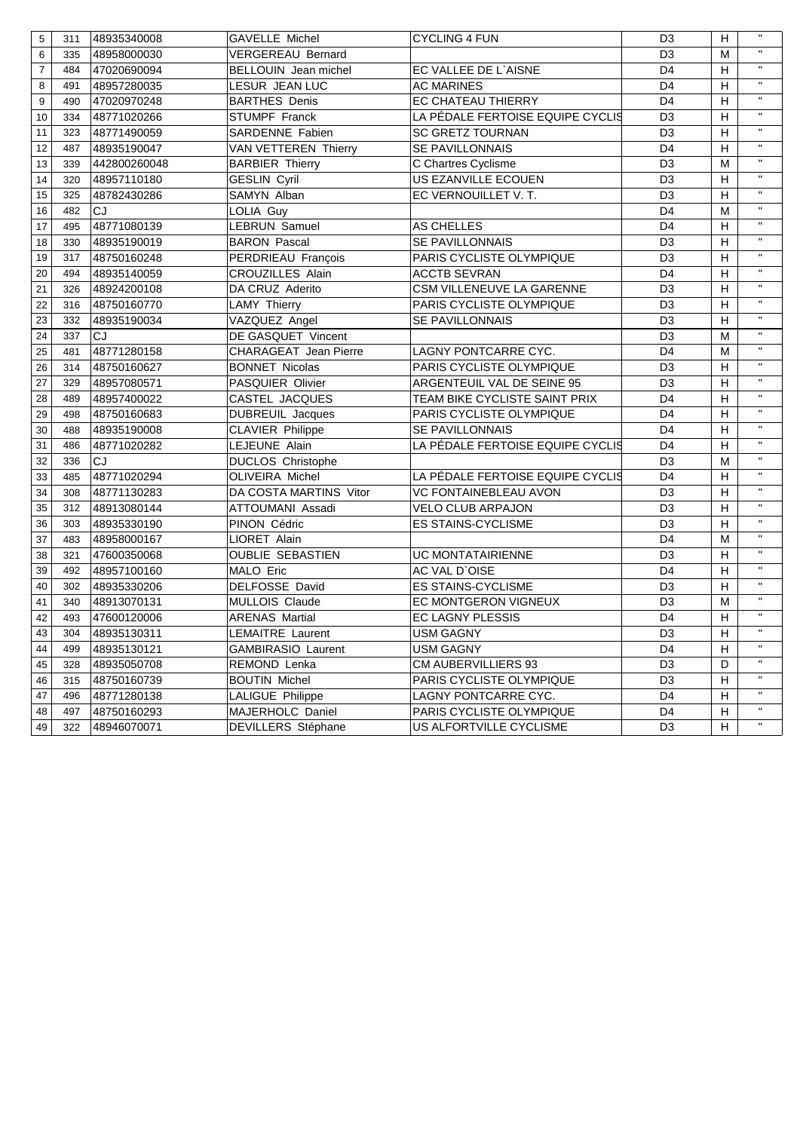| 5              | 311 | 48935340008  | <b>GAVELLE Michel</b>     | <b>CYCLING 4 FUN</b>             | D <sub>3</sub> | H                         | $\mathbf{H}$              |
|----------------|-----|--------------|---------------------------|----------------------------------|----------------|---------------------------|---------------------------|
| $6\phantom{1}$ | 335 | 48958000030  | <b>VERGEREAU Bernard</b>  |                                  | D <sub>3</sub> | M                         | $\mathbf{H}$              |
| $\overline{7}$ | 484 | 47020690094  | BELLOUIN Jean michel      | EC VALLEE DE L'AISNE             | D <sub>4</sub> | H                         | $\mathbf{H}$              |
| 8              | 491 | 48957280035  | LESUR JEAN LUC            | <b>AC MARINES</b>                | D <sub>4</sub> | H                         | $\mathbf{H}$              |
| 9              | 490 | 47020970248  | <b>BARTHES Denis</b>      | EC CHATEAU THIERRY               | D <sub>4</sub> | H                         | $\pmb{\mathsf{H}}$        |
| 10             | 334 | 48771020266  | STUMPF Franck             | LA PÉDALE FERTOISE EQUIPE CYCLIS | D <sub>3</sub> | H                         | $\mathbf{H}$              |
| 11             | 323 | 48771490059  | SARDENNE Fabien           | <b>SC GRETZ TOURNAN</b>          | D <sub>3</sub> | Н                         | $\boldsymbol{\mathsf{H}}$ |
| 12             | 487 | 48935190047  | VAN VETTEREN Thierry      | SE PAVILLONNAIS                  | D <sub>4</sub> | $\boldsymbol{\mathsf{H}}$ | $\pmb{\mathsf{H}}$        |
| 13             | 339 | 442800260048 | <b>BARBIER Thierry</b>    | C Chartres Cyclisme              | D <sub>3</sub> | M                         | $\pmb{\mathsf{H}}$        |
| 14             | 320 | 48957110180  | <b>GESLIN Cyril</b>       | US EZANVILLE ECOUEN              | D <sub>3</sub> | Н                         | $\pmb{\mathsf{H}}$        |
| 15             | 325 | 48782430286  | SAMYN Alban               | EC VERNOUILLET V.T.              | D <sub>3</sub> | H                         | $\mathbf{H}$              |
| 16             | 482 | CJ           | LOLIA Guy                 |                                  | D <sub>4</sub> | M                         | $\pmb{\mathsf{H}}$        |
| 17             | 495 | 48771080139  | <b>LEBRUN Samuel</b>      | <b>AS CHELLES</b>                | D <sub>4</sub> | Н                         | $\pmb{\mathsf{H}}$        |
| 18             | 330 | 48935190019  | <b>BARON Pascal</b>       | <b>SE PAVILLONNAIS</b>           | D <sub>3</sub> | Н                         | $\pmb{\mathsf{H}}$        |
| 19             | 317 | 48750160248  | PERDRIEAU François        | PARIS CYCLISTE OLYMPIQUE         | D <sub>3</sub> | H                         | $\pmb{\mathsf{H}}$        |
| 20             | 494 | 48935140059  | <b>CROUZILLES Alain</b>   | <b>ACCTB SEVRAN</b>              | D <sub>4</sub> | H                         | $\pmb{\mathsf{H}}$        |
| 21             | 326 | 48924200108  | DA CRUZ Aderito           | CSM VILLENEUVE LA GARENNE        | D <sub>3</sub> | H                         | $\pmb{\mathsf{H}}$        |
| 22             | 316 | 48750160770  | <b>LAMY Thierry</b>       | PARIS CYCLISTE OLYMPIQUE         | D <sub>3</sub> | H                         | $\pmb{\mathsf{H}}$        |
| 23             | 332 | 48935190034  | VAZQUEZ Angel             | <b>SE PAVILLONNAIS</b>           | D <sub>3</sub> | H                         | $\mathbf{H}$              |
| 24             | 337 | <b>CJ</b>    | DE GASQUET Vincent        |                                  | D <sub>3</sub> | M                         | $\mathbf{H}$              |
| 25             | 481 | 48771280158  | CHARAGEAT Jean Pierre     | LAGNY PONTCARRE CYC.             | D <sub>4</sub> | M                         | $\mathbf{H}$              |
| 26             | 314 | 48750160627  | <b>BONNET Nicolas</b>     | PARIS CYCLISTE OLYMPIQUE         | D <sub>3</sub> | H                         | $\mathbf{H}$              |
| 27             | 329 | 48957080571  | PASQUIER Olivier          | ARGENTEUIL VAL DE SEINE 95       | D <sub>3</sub> | H                         | $\mathbf{H}$              |
| 28             | 489 | 48957400022  | CASTEL JACQUES            | TEAM BIKE CYCLISTE SAINT PRIX    | D <sub>4</sub> | H                         | $\boldsymbol{\mathsf{H}}$ |
| 29             | 498 | 48750160683  | <b>DUBREUIL Jacques</b>   | PARIS CYCLISTE OLYMPIQUE         | D <sub>4</sub> | H                         | $\mathbf{H}$              |
| 30             | 488 | 48935190008  | <b>CLAVIER Philippe</b>   | SE PAVILLONNAIS                  | D <sub>4</sub> | Н                         | $\mathbf{H}$              |
| 31             | 486 | 48771020282  | LEJEUNE Alain             | LA PÉDALE FERTOISE EQUIPE CYCLIS | D <sub>4</sub> | H                         | $\boldsymbol{\mathsf{H}}$ |
| 32             | 336 | <b>CJ</b>    | <b>DUCLOS Christophe</b>  |                                  | D <sub>3</sub> | M                         | $\pmb{\mathsf{H}}$        |
| 33             | 485 | 48771020294  | <b>OLIVEIRA Michel</b>    | LA PÉDALE FERTOISE EQUIPE CYCLIS | D <sub>4</sub> | H                         | $\pmb{\mathsf{H}}$        |
| 34             | 308 | 48771130283  | DA COSTA MARTINS Vitor    | VC FONTAINEBLEAU AVON            | D <sub>3</sub> | Н                         | $\pmb{\mathsf{H}}$        |
| 35             | 312 | 48913080144  | ATTOUMANI Assadi          | <b>VELO CLUB ARPAJON</b>         | D <sub>3</sub> | Н                         | $\pmb{\mathsf{H}}$        |
| 36             | 303 | 48935330190  | PINON Cédric              | <b>ES STAINS-CYCLISME</b>        | D <sub>3</sub> | H                         | $\pmb{\mathsf{H}}$        |
| 37             | 483 | 48958000167  | LIORET Alain              |                                  | D <sub>4</sub> | M                         | $\pmb{\mathsf{H}}$        |
| 38             | 321 | 47600350068  | <b>OUBLIE SEBASTIEN</b>   | <b>UC MONTATAIRIENNE</b>         | D <sub>3</sub> | Н                         | $\pmb{\mathsf{H}}$        |
| 39             | 492 | 48957100160  | MALO Eric                 | AC VAL D'OISE                    | D <sub>4</sub> | H                         | $\pmb{\mathsf{H}}$        |
| 40             | 302 | 48935330206  | DELFOSSE David            | <b>ES STAINS-CYCLISME</b>        | D <sub>3</sub> | H                         | $\mathbf{H}$              |
| 41             | 340 | 48913070131  | MULLOIS Claude            | EC MONTGERON VIGNEUX             | D <sub>3</sub> | M                         | $\mathbf{H}$              |
| 42             | 493 | 47600120006  | <b>ARENAS Martial</b>     | EC LAGNY PLESSIS                 | D <sub>4</sub> | $\boldsymbol{\mathsf{H}}$ | $\mathbf H$               |
| 43             | 304 | 48935130311  | LEMAITRE Laurent          | <b>USM GAGNY</b>                 | D <sub>3</sub> | $\overline{H}$            | $\mathbf{H}$              |
| 44             | 499 | 48935130121  | <b>GAMBIRASIO Laurent</b> | USM GAGNY                        | D4             | H                         | $\pmb{\mathsf{H}}$        |
| 45             | 328 | 48935050708  | REMOND Lenka              | CM AUBERVILLIERS 93              | D <sub>3</sub> | D                         |                           |
| 46             | 315 | 48750160739  | <b>BOUTIN Michel</b>      | PARIS CYCLISTE OLYMPIQUE         | D <sub>3</sub> | Н                         | $\pmb{\mathsf{H}}$        |
| 47             | 496 | 48771280138  | LALIGUE Philippe          | LAGNY PONTCARRE CYC.             | D <sub>4</sub> | н                         | $\pmb{\mathsf{H}}$        |
| 48             | 497 | 48750160293  | MAJERHOLC Daniel          | PARIS CYCLISTE OLYMPIQUE         | D <sub>4</sub> | Н                         | $\pmb{\mathsf{H}}$        |
| 49             | 322 | 48946070071  | DEVILLERS Stéphane        | US ALFORTVILLE CYCLISME          | D <sub>3</sub> | H                         |                           |